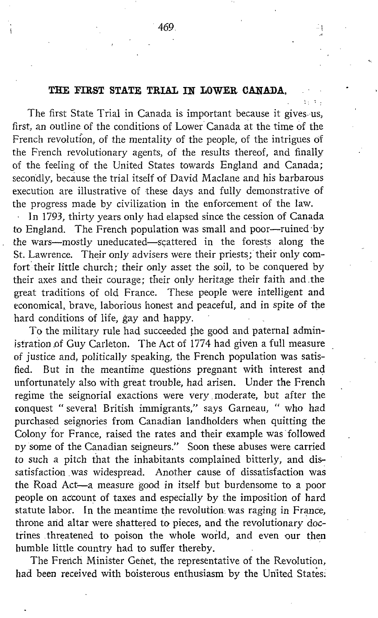The first State Trial in Canada is important because it gives us, first, an outline of the conditions of Lower Canada at the time of the French revolution, of the mentality of the people, of the intrigues of the French revolutionary agents, of the results thereof, and finally of the feeling of the United States towards England and Canada; secondly, because the trial itself of David Maclane and his barbarous execution are illustrative of these days and fully demonstrative of the progress made by civilization in the enforcement of the law.

In 1793, thirty years only had elapsed since the cession of Canada to England. The French population was small and poor-ruined by the wars-mostly uneducated-scattered in the forests along the St. Lawrence. Their only advisers were their priests; their only comfort their little church; their only asset the soil, to be conquered by their axes and their courage; their only heritage their faith and-the great traditions of old France. These people were intelligent and economical, brave, laborious honest and peaceful, and in spite of the hard conditions of life, gay and happy.

To the military rule had succeeded the good and paternal administration of Guy Carleton. The Act of 1774 had given a full measure of justice and, politically speaking, the French population was satisfied. But in the meantime questions pregnant with interest and unfortunately also with great trouble, had arisen. Under the French regime the seignorial exactions were very, moderate, but after the conquest " several British immigrants," says Garneau, " who had purchased seignories from Canadian landholders when quitting the Colony for France, raised the rates and their example was followed ny some of the Canadian seigneurs." Soon these abuses were carried to such a pitch that the inhabitants complained bitterly, and dissatisfaction was widespread. Another cause of dissatisfaction was the Road Act-a measure good in itself but burdensome to <sup>a</sup> poor people on account of taxes and especially by the imposition of hard statute labor. In the meantime the revolution. was raging in France, throne and altar were shattered to pieces, and the revolutionary doctrines threatened to poison the whole world, and even our then humble little country had to suffer thereby.

The French Minister Genet, the representative of the Revolution, had been received with boisterous enthusiasm by the United States.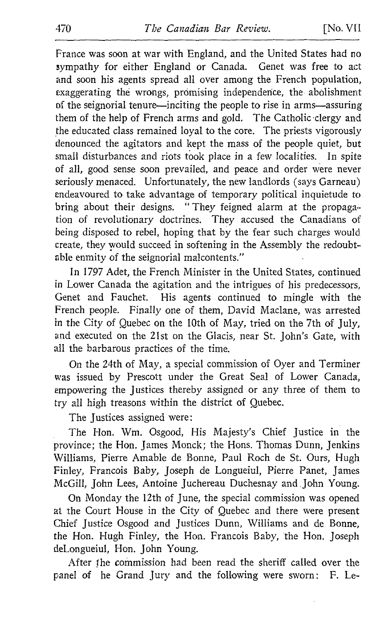France was soon at war with England, and the United States had no sympathy for either England or Canada. Genet was free to act and soon his agents spread all over among the French population, exaggerating the wrongs, promising independence, the abolishment of the seignorial tenure-inciting the people to rise in arms-assuring them of the help of French arms and gold, The Catholic clergy and the educated class remained loyal to the core. The priests vigorously denounced the agitators and kept the mass of the people quiet, but small disturbances and riots took place in a few localities. In spite of all, good sense soon prevailed, and peace and order were never seriously menaced. Unfortunately, the new landlords (says Garneau) endeavoured to take advantage of temporary political inquietude to bring about their designs. "They feigned alarm at the propagation of revolutionary doctrines. They accused the Canadians of being disposed to rebel, hoping that by the fear such charges would. create, they would succeed in softening in the Assembly the redoubtable enmity of the seignorial malcontents."

In 1797 Adet, the French Minister in the United States, continued in Lower Canada the agitation and the intrigues of his predecessors, Genet and Fauchet. His agents continued to mingle with the French people. Finally one of them, David Maclane, was arrested in the City of Quebec on the 10th of May, tried on the 7th of July, and executed on the 21st on the Glacis, near St. John's Gate, with all the barbarous practices of the time.

On the 24th of May, <sup>a</sup> special commission of Oyer and Terminer vas issued by Prescott under the Great Seal of Lower Canada, empowering the justices thereby assigned or any three of them to try all high treasons within the district of Quebec.

The Justices assigned were:

The Hon. Wm. Osgood, His Majesty's Chief justice in the province; the Hon. James Monck; the Hons. Thomas Dunn, Jenkins Williams, Pierre Amable de Bonne, Paul Roch de St. Ours, Hugh Finley, Francois Baby, Joseph de Longueiul, Pierre Panet, James McGill, John Lees, Antoine Juchereau Duchesnay and .John Young.

On Monday the 12th of June, the special commission was opened at the Court House in the City of Quebec and there were present Chief Justice Osgood and Justices Dunn, Williams and de Bonne, the Hon. Hugh Finley, the Hon. Francois Baby, the Hon . Joseph deLongueiul, Hon. John Young.

After the commission had been read the sheriff called over the panel of he Grand Jury and the following were sworn: F. Le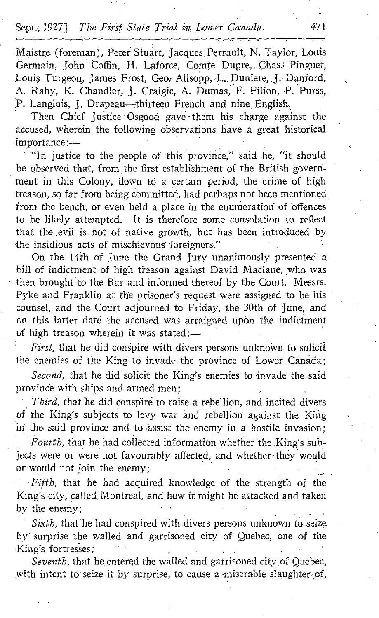Maistre (foreman), Peter Stuart, Jacques Perrault, N. Taylor, Louis Germain, John Coffin, H. Laforce, Comte Dupre, Chas: Pinguet, Louis Turgeon, James Frost, Geo. Allsopp, L. Duniere, J. Danford, A. Raby, K. Chandler, J. Craigie, A. Dumas, F. Filion, P. Purss, P. Langlois, J. Drapeau-thirteen French and nine English.

Then Chief Justice Osgood gave-them his charge against the accused, wherein the following observations have a great historical importance:-

"In justice to the people of this province," said he, "it should be observed that, from,the first establishment of the British government in this Colony, down to a certain period, the crime of high treason, so far from being committed, had perhaps not been mentioned from the bench, or even held a place in the enumeration of offences to be likely attempted. It is therefore some consolation to reflect that the .evil is not of native growth, but has been introduced by the insidious acts of mischievous foreigners."

On the 14th of June the Grand jury unanimously presented' <sup>a</sup> hill of indictment of high treason against David Maclane, who was then brought to the Bar and informed thereof by the Court. Messrs. Pyke and Franklin at the prisoner's request were assigned to be his counsel, and the Court adjourned to Friday, the 30th of June, and on this latter date' the accused was arraigned upon the indictment  $of$  high treason wherein it was stated :-

 First, that he did conspire with divers persons unknown to solicit the enemies of the King to invade the province of Lower Canada;

Second, that he did solicit the King's enemies to invade the said province with ships and armed men;

Third, that he did conspire to raise a rebellion, and incited divers of the King's subjects to levy war and rebellion against the King in the said province and to assist the enemy in a hostile invasion;

Fourth, that he had collected information whether the King's subjects were or were not favourably affected, and whether they would or would not join the enemy;

Fifth, that he had acquired knowledge of the strength of the King's city, called\_ Montreal, and how it might be attacked and taken by the enemy;

Sixth, that he had conspired with divers persons unknown to seize by surprise the walled and garrisoned city of Quebec, one of the :King's fortresses;

Seventh, that he entered the walled and garrisoned city of Quebec, with intent to seize it by surprise, to cause a miserable slaughter of,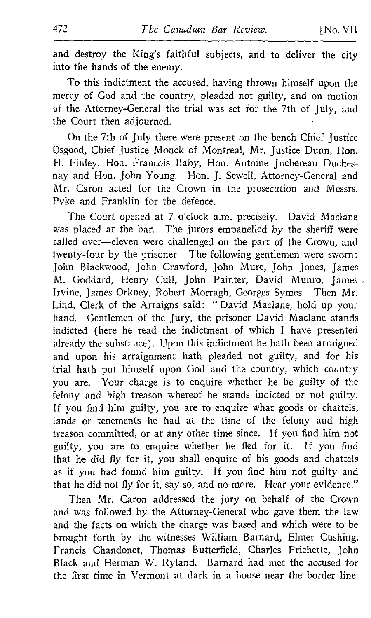and destroy the King's faithful subjects, and to deliver the city into the hands of the enemy.

To this indictment the accused, having thrown himself upon the mercy of God and the country, pleaded not guilty, and on motion of the Attorney-General the trial was set for the 7th of July, and the Court then adjourned.

On the 7th of July there were present on the bench Chief Justice Osgood, Chief Justice Monck of Montreal, Mr. Justice Dunn, Hon. H. Finley, Hon. Francois Baby, Hon. Antoine Juchereau Duchesnay and Hon. John Young. Hon. J. Sewell, Attorney-General and Mr. Caron acted for the Crown in the prosecution and Messrs. Pyke and Franklin for the defence.

The Court opened at 7 o'clock a.m. precisely. David Maclane was placed at the bar. The jurors empanelled by the sheriff were called over-eleven were challenged on the part of the Crown, and twenty-four by the prisoner. The following gentlemen were sworn John Blackwood, John Crawford, John Mure, John Jones, James M. Goddard, Henry Cull, John Painter, David Munro, James . Irvine, James Orkney, Robert Morragh, Georges Symes. Then Mr. Lind, Clerk of the Arraigns said: "David Maclane, hold up your hand. Gentlemen of the jury, the prisoner David Maclane stands indicted (here he read the indictment of which <sup>I</sup> have presented already the substance). Upon this indictment he hath been arraigned and upon his arraignment hath pleaded not guilty, and for his trial hath put himself upon God and the country, which country<br>you are. Your charge is to enquire whether he be guilty of the Your charge is to enquire whether he be guilty of the felony and high treason whereof he stands indicted or not guilty. If you find him guilty, you are to enquire what goods or chattels, lands or tenements he had at the time of the felony and high treason committed, or at any other time since. If you find him not guilty, you are to enquire whether he fled for it. If you find that he did fly for it, you shall enquire of his goods and chattels as if you had found him guilty. If you find him not guilty and that he did not fly for it, say so, and no more. Hear your evidence."

Then Mr. Caron addressed the jury on behalf of the Crown and was followed by the Attorney-General who gave them the law and the facts on which the charge was based and which were to be brought forth by the witnesses William Barnard, Elmer Cushing, Francis Chandonet, Thomas Butterfield, Charles Frichette, John Black and Herman W. Ryland. Barnard had met the accused for the first time in Vermont at dark in a house near the border line .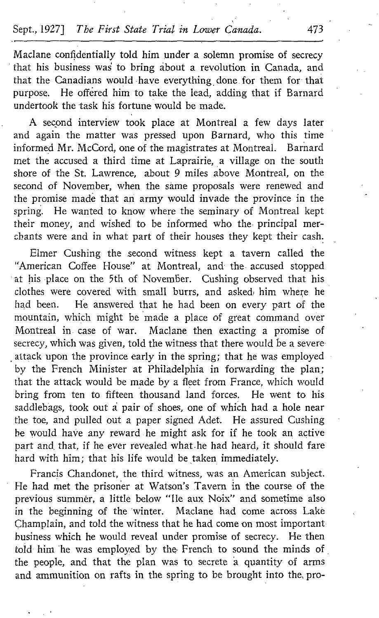Maclane confidentially told him under a solemn promise of secrecy that his business was to bring about a revolution in Canada, and that the Canadians would have everything done for them for that purpose. He offéred him to take the lead, adding that if Barnard undertook the task his fortune would be made.

A second interview took place at Montreal <sup>a</sup> few days later and again the matter was pressed upon Barnard, who this time informed Mr. McCord, one of the magistrates at Montreal. Barnard met the accused a third time at Laprairie, a village on the south shore of the St. Lawrence, about 9 miles above Montreal, on the second of November, when the same proposals were renewed and the promise made that an army would invade the province in the spring. He wanted to know where the seminary of Montreal kept their money, and wished to be informed who the principal mercbants were and in what part of their houses they kept their cash.

Elmer Cushing the second witness kept a tavern called the "American Coffee House" at Montreal, and the- accused stopped at his place on the 5th of November. Cushing observed that his clothes were covered with small burrs, and asked him where he had been. He answered that he had been on every part of the He answered that he had been on every part of the mountain, which might be made a place of great command over Montreal in case of war. Maclane then exacting a promise of secrecy, which was given, told the witness that there would be a severeattack upon the province early in the spring; that he was employed by the French Minister at Philadelphia in forwarding the plan; that the attack would be made by a fleet from France, which would bring from ten to fifteen thousand land forces. He went to his saddlebags, took out â pair of shoes, one of which had a hole near the toe, and pulled out a paper signed Adet. He assured Cushing he would have any reward he might ask for if he took an active part and that, if he ever revealed what he had heard, it should fare hard with him; that his life would be taken immediately.

Francis Chandonet, the third witness, was an American subject. He had met the prisoner at Watson's Tavern in the course of the previous summér, a little below "Ile aux Noix" and sometime also in the beginning of the winter. Maclane had come across Lake Champlain, and told the witness that he had come on most important business which he would reveal under promise of secrecy. He then told him he was employed by the- French to sound the minds of the people, and that the plan was to secrete a quantity of arms and ammunition on rafts in the spring to be brought into the, pro-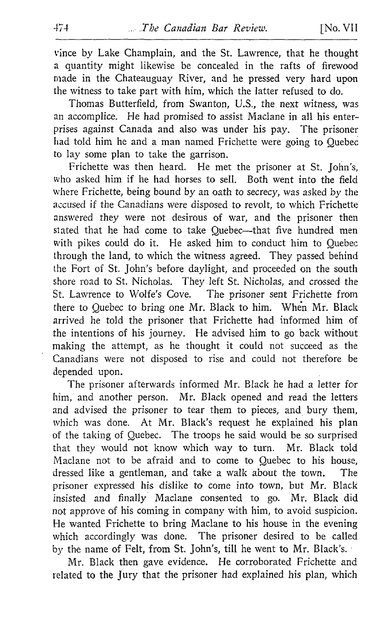vince by Lake Champlain, and the St. Lawrence, that he thought a quantity might likewise be concealed in the rafts of firewood made in the Chateauguay River, and he pressed very hard upon the witness to take part with him, which the latter refused to do.

Thomas Butterfield, from Swanton, U.S., the next witness, was an accomplice. He had promised to assist Maclane in all his enterprises against Canada and also was under his pay. The prisoner had told him he and a man named Frichette were going to Quebec to lay some plan to take the garrison.

Frichette was then heard. He met the prisoner at St. John's, who asked him if he had horses to sell. Both went into the field where Frichette, being bound by an oath to secrecy, was asked by the accused if the Canadians were disposed to revolt, to which Frichette answered they were not desirous of war, and the prisoner then stated that he had come to take Quebec-that five hundred men with pikes could do it. He asked him to conduct him to Quebec through the land, to which the witness agreed. They passed behind the Fort of St. John's before daylight, and proceeded on the south shore road to St. Nicholas. They left St. Nicholas, and crossed the St. Lawrence to Wolfe's Cove. The prisoner sent Frichette from there to Quebec to bring one Mr. Black to him. Whén Mr. Black arrived he told the prisoner that Frichette had informed him of the intentions of his journey. He advised him to go back without making the attempt, as he thought it could not succeed as the Canadians were not disposed to rise and could not therefore be depended upon.

The prisoner afterwards informed Mr. Black he had <sup>a</sup> letter for him, and another person. Mr. Black opened and read the letters and advised the prisoner to tear them to pieces, and bury them, which was done. At Mr. Black's request he explained his plan of the taking of Quebec. The troops he said would be so surprised that they would not know which way to turn. Mr. Black told Maclane not to be afraid and to come to Quebec to his house, dressed like a gentleman, and take a walk about the town. The dressed like a gentleman, and take a walk about the town. prisoner expressed his dislike to come into town, but Mr. Black insisted and finally Maclane consented to go. Mr. Black did not approve of his coming in company with him, to avoid suspicion. He wanted Frichette to bring Maclane to his house in the evening which accordingly was done. The prisoner desired to be called by the name of Felt, from St. John's, till he went to Mr. Black's .

Mr. Black then gave evidence. He corroborated Frichette and related to the jury that the prisoner had explained his plan, which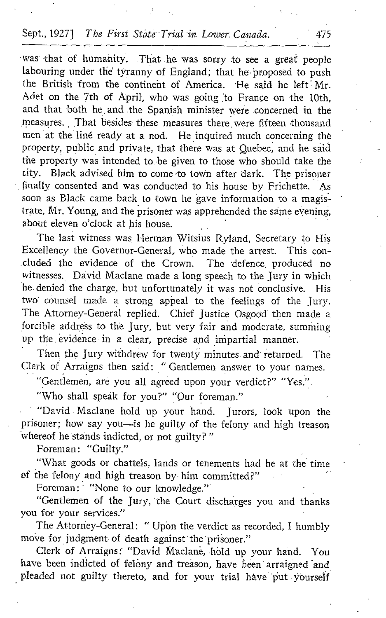## Sept., 1927] The First State Trial in Lower Canada. 475

was that of humanity. That he was sorry to see a great people labouring under the tyranny of England; that he-proposed to push the British from the continent of America. 'He said he left' Mr. Adet on the 7th of April, who was going 'to, France on the 10th, and that both he. and the Spanish minister were concerned in the measures . That besides these measures there were fifteen thousand men at the line ready at a nod. He inquired much concerning the property, public and private, that there was at Quebec, and he said the property was intended to, be given to those who should take the city. Black advised him to come to town after dark. The prisoner finally consented and was conducted to his house by Frichette. As finally consented and was conducted to his house by Frichette. soon as Black came back to town he gave information to a magistrate, Mr. Young, and the prisoner was apprehended the same evening, about eleven o'clock at his house.

The last witness was, Herman Witsius Ryland, Secretary to His Excellency the Governor-General, who made the arrest. This con-<br>cluded the evidence of the Crown. The defence produced no cluded the evidence of the Crown. witnesses. David Maclane made a long speech to the Jury in which<br>he denied the charge, but unfortunately it was not conclusive. His he denied the charge, but unfortunately it was not conclusive. two counsel made a strong appeal to the feelings of the jury. The Attorney-General replied. Chief Justice Osgood then made a forcible address to the jury, but very fair and moderate, summing up the, evidence in a clear, precise and impartial manner..

Then the Jury withdrew for twenty minutes and returned. The Clerk of Arraigns then said: "Gentlemen answer to your names.

"Gentlemen, are you all agreed upon your verdict?" "Yes." .

"Who shall speak for you?" "Our foreman."

"David - Maclane hold up your hand. jurors, look 'upon the prisoner; how say you-is he guilty of the felony and high treason whereof he stands indicted, or not guilty?"

Foreman: "Guilty."

"What goods or chattels, lands or tenements had he at the time of the felony and high treason by him committed?"

Foreman: "None to our knowledge."

"Gentlemen of the Jury, 'the Court discharges you and thanks you for your services."

The Attorney-General: "Upon the verdict as recorded, I humbly move for judgment of death against the prisoner."

Clerk of Arraigns: "David Maclane, hold up your hand. You have been indicted of felony and treason, have been' arraigned and pleaded not guilty thereto, and for your trial have put yourself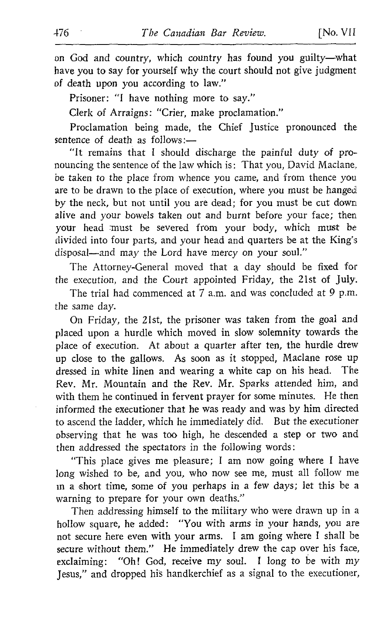on God and country, which country has found you guilty-what have you to say for yourself why the court should not give judgment of death upon you according to law."

Prisoner: "I have nothing more to say."

Clerk of Arraigns: "Crier, make proclamation."

Proclamation being made, the Chief justice pronounced the sentence of death as follows :-

"It remains that <sup>I</sup> should discharge the painful duty of pronouncing the sentence of the law which is : That you, David Maclane, be taken to the place from whence you came, and from thence you. are to be drawn to the place of execution, where you must be hanged by the neck, but not until you are dead; for you must be cut down alive and your bowels taken out and burnt before your face; then your head :must be severed from your body, which must be divided into four parts, and your head and quarters be at the King's disposal—and may the Lord have mercy on your soul."

The Attorney-General moved that a day should be fixed for the execution, and the Court appointed Friday, the 21st of July.

The trial had commenced at <sup>7</sup> a.m. and was concluded at 9 p.m. the same day.

On Friday, the 21st, the prisoner was taken from the goal and placed upon a hurdle which moved in slow solemnity towards the place of execution. At about a quarter after ten, the hurdle drew up close to the gallows. As soon as it stopped, Maclane rose up<br>dressed in white linen and wearing a white can on his head. The dressed in white linen and wearing a white cap on his head. Rev. Mr. Mountain and the Rev. Mr. Sparks attended him, and with them he continued in fervent prayer for some minutes. He then informed the executioner that be was ready and was by him directed to ascend the ladder, which he immediately did. But the executioner observing that he was too high, he descended a step or two and then addressed the spectators in the following words :

"This place gives me pleasure; I am now going where I have long wished to be, and you, who now see me, must all follow me in a short time, some of you perhaps in a few days; let this be a warning to prepare for your own deaths."

Then addressing himself to the military who were drawn up in <sup>a</sup> hollow square, he added: "You with arms in your hands, you are not secure here even with your arms. <sup>I</sup> am going where <sup>I</sup> shall be secure without them." He immediately drew the cap over his face, exclaiming: "Oh! God, receive my soul. I long to be with my Jesus," and dropped his handkerchief as a signal to the executioner,